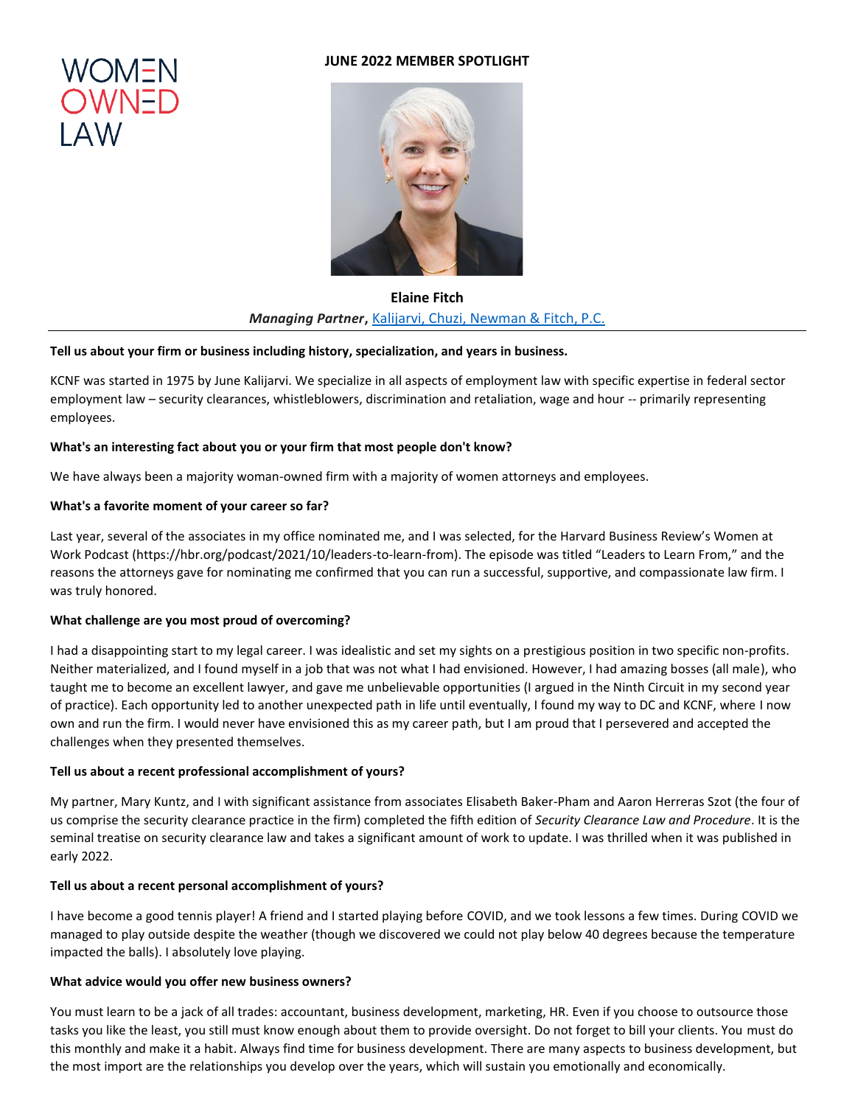# **JUNE 2022 MEMBER SPOTLIGHT**





**Elaine Fitch** *Managing Partner***,** [Kalijarvi, Chuzi, Newman & Fitch, P.C.](http://www.kcnfdc.com/)

### **Tell us about your firm or business including history, specialization, and years in business.**

KCNF was started in 1975 by June Kalijarvi. We specialize in all aspects of employment law with specific expertise in federal sector employment law – security clearances, whistleblowers, discrimination and retaliation, wage and hour -- primarily representing employees.

# **What's an interesting fact about you or your firm that most people don't know?**

We have always been a majority woman-owned firm with a majority of women attorneys and employees.

### **What's a favorite moment of your career so far?**

Last year, several of the associates in my office nominated me, and I was selected, for the Harvard Business Review's Women at Work Podcast (https://hbr.org/podcast/2021/10/leaders-to-learn-from). The episode was titled "Leaders to Learn From," and the reasons the attorneys gave for nominating me confirmed that you can run a successful, supportive, and compassionate law firm. I was truly honored.

# **What challenge are you most proud of overcoming?**

I had a disappointing start to my legal career. I was idealistic and set my sights on a prestigious position in two specific non-profits. Neither materialized, and I found myself in a job that was not what I had envisioned. However, I had amazing bosses (all male), who taught me to become an excellent lawyer, and gave me unbelievable opportunities (I argued in the Ninth Circuit in my second year of practice). Each opportunity led to another unexpected path in life until eventually, I found my way to DC and KCNF, where I now own and run the firm. I would never have envisioned this as my career path, but I am proud that I persevered and accepted the challenges when they presented themselves.

#### **Tell us about a recent professional accomplishment of yours?**

My partner, Mary Kuntz, and I with significant assistance from associates Elisabeth Baker-Pham and Aaron Herreras Szot (the four of us comprise the security clearance practice in the firm) completed the fifth edition of *Security Clearance Law and Procedure*. It is the seminal treatise on security clearance law and takes a significant amount of work to update. I was thrilled when it was published in early 2022.

#### **Tell us about a recent personal accomplishment of yours?**

I have become a good tennis player! A friend and I started playing before COVID, and we took lessons a few times. During COVID we managed to play outside despite the weather (though we discovered we could not play below 40 degrees because the temperature impacted the balls). I absolutely love playing.

## **What advice would you offer new business owners?**

You must learn to be a jack of all trades: accountant, business development, marketing, HR. Even if you choose to outsource those tasks you like the least, you still must know enough about them to provide oversight. Do not forget to bill your clients. You must do this monthly and make it a habit. Always find time for business development. There are many aspects to business development, but the most import are the relationships you develop over the years, which will sustain you emotionally and economically.